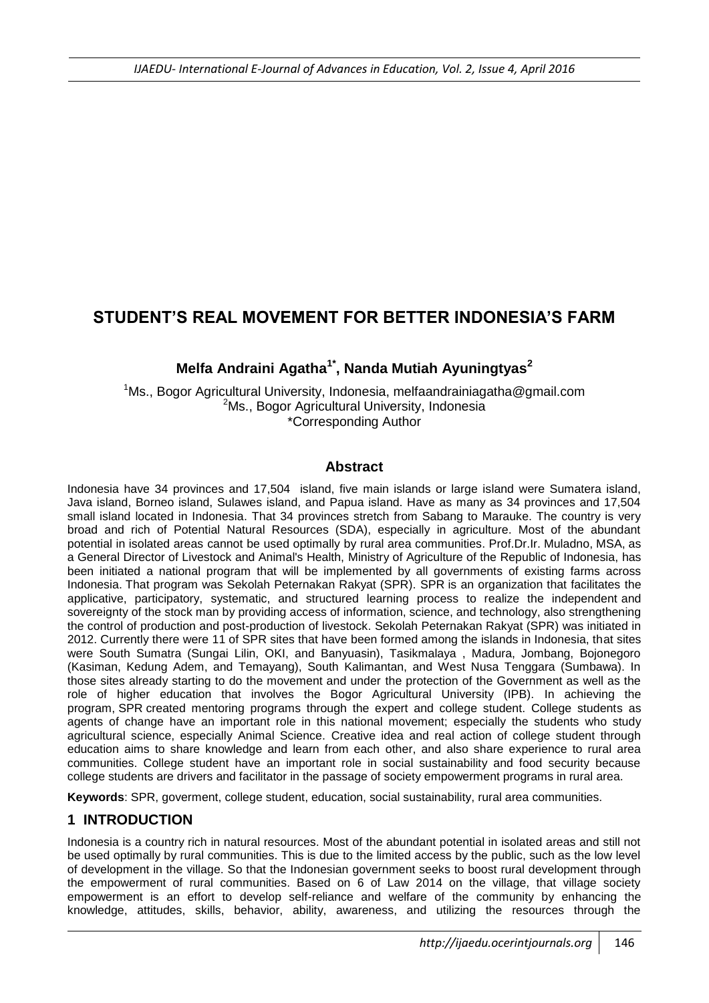# **STUDENT'S REAL MOVEMENT FOR BETTER INDONESIA'S FARM**

## **Melfa Andraini Agatha1\*, Nanda Mutiah Ayuningtyas<sup>2</sup>**

<sup>1</sup>Ms., Bogor Agricultural University, Indonesia, melfaandrainiagatha@gmail.com <sup>2</sup>Ms., Bogor Agricultural University, Indonesia \*Corresponding Author

#### **Abstract**

Indonesia have 34 provinces and 17,504 island, five main islands or large island were Sumatera island, Java island, Borneo island, Sulawes island, and Papua island. Have as many as 34 provinces and 17,504 small island located in Indonesia. That 34 provinces stretch from Sabang to Marauke. The country is very broad and rich of Potential Natural Resources (SDA), especially in agriculture. Most of the abundant potential in isolated areas cannot be used optimally by rural area communities. Prof.Dr.Ir. Muladno, MSA, as a General Director of Livestock and Animal's Health, Ministry of Agriculture of the Republic of Indonesia, has been initiated a national program that will be implemented by all governments of existing farms across Indonesia. That program was Sekolah Peternakan Rakyat (SPR). SPR is an organization that facilitates the applicative, participatory, systematic, and structured learning process to realize the independent and sovereignty of the stock man by providing access of information, science, and technology, also strengthening the control of production and post-production of livestock. Sekolah Peternakan Rakyat (SPR) was initiated in 2012. Currently there were 11 of SPR sites that have been formed among the islands in Indonesia, that sites were South Sumatra (Sungai Lilin, OKI, and Banyuasin), Tasikmalaya , Madura, Jombang, Bojonegoro (Kasiman, Kedung Adem, and Temayang), South Kalimantan, and West Nusa Tenggara (Sumbawa). In those sites already starting to do the movement and under the protection of the Government as well as the role of higher education that involves the Bogor Agricultural University (IPB). In achieving the program, SPR created mentoring programs through the expert and college student. College students as agents of change have an important role in this national movement; especially the students who study agricultural science, especially Animal Science. Creative idea and real action of college student through education aims to share knowledge and learn from each other, and also share experience to rural area communities. College student have an important role in social sustainability and food security because college students are drivers and facilitator in the passage of society empowerment programs in rural area.

**Keywords**: SPR, goverment, college student, education, social sustainability, rural area communities.

## **1 INTRODUCTION**

Indonesia is a country rich in natural resources. Most of the abundant potential in isolated areas and still not be used optimally by rural communities. This is due to the limited access by the public, such as the low level of development in the village. So that the Indonesian government seeks to boost rural development through the empowerment of rural communities. Based on 6 of Law 2014 on the village, that village society empowerment is an effort to develop self-reliance and welfare of the community by enhancing the knowledge, attitudes, skills, behavior, ability, awareness, and utilizing the resources through the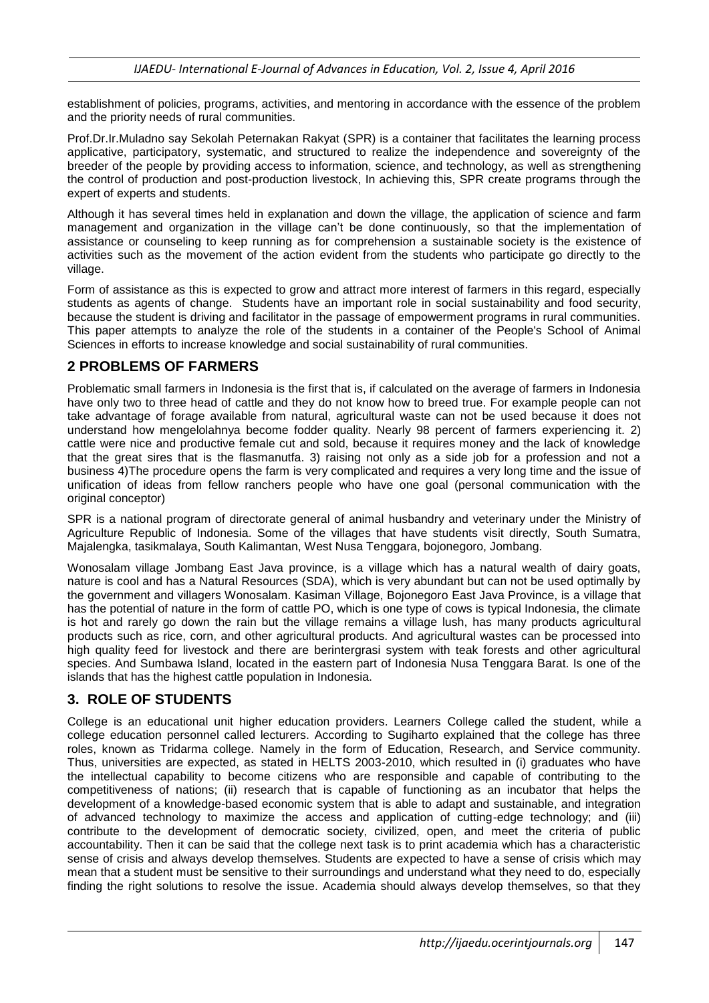establishment of policies, programs, activities, and mentoring in accordance with the essence of the problem and the priority needs of rural communities.

Prof.Dr.Ir.Muladno say Sekolah Peternakan Rakyat (SPR) is a container that facilitates the learning process applicative, participatory, systematic, and structured to realize the independence and sovereignty of the breeder of the people by providing access to information, science, and technology, as well as strengthening the control of production and post-production livestock, In achieving this, SPR create programs through the expert of experts and students.

Although it has several times held in explanation and down the village, the application of science and farm management and organization in the village can't be done continuously, so that the implementation of assistance or counseling to keep running as for comprehension a sustainable society is the existence of activities such as the movement of the action evident from the students who participate go directly to the village.

Form of assistance as this is expected to grow and attract more interest of farmers in this regard, especially students as agents of change. Students have an important role in social sustainability and food security, because the student is driving and facilitator in the passage of empowerment programs in rural communities. This paper attempts to analyze the role of the students in a container of the People's School of Animal Sciences in efforts to increase knowledge and social sustainability of rural communities.

## **2 PROBLEMS OF FARMERS**

Problematic small farmers in Indonesia is the first that is, if calculated on the average of farmers in Indonesia have only two to three head of cattle and they do not know how to breed true. For example people can not take advantage of forage available from natural, agricultural waste can not be used because it does not understand how mengelolahnya become fodder quality. Nearly 98 percent of farmers experiencing it. 2) cattle were nice and productive female cut and sold, because it requires money and the lack of knowledge that the great sires that is the flasmanutfa. 3) raising not only as a side job for a profession and not a business 4)The procedure opens the farm is very complicated and requires a very long time and the issue of unification of ideas from fellow ranchers people who have one goal (personal communication with the original conceptor)

SPR is a national program of directorate general of animal husbandry and veterinary under the Ministry of Agriculture Republic of Indonesia. Some of the villages that have students visit directly, South Sumatra, Majalengka, tasikmalaya, South Kalimantan, West Nusa Tenggara, bojonegoro, Jombang.

Wonosalam village Jombang East Java province, is a village which has a natural wealth of dairy goats, nature is cool and has a Natural Resources (SDA), which is very abundant but can not be used optimally by the government and villagers Wonosalam. Kasiman Village, Bojonegoro East Java Province, is a village that has the potential of nature in the form of cattle PO, which is one type of cows is typical Indonesia, the climate is hot and rarely go down the rain but the village remains a village lush, has many products agricultural products such as rice, corn, and other agricultural products. And agricultural wastes can be processed into high quality feed for livestock and there are berintergrasi system with teak forests and other agricultural species. And Sumbawa Island, located in the eastern part of Indonesia Nusa Tenggara Barat. Is one of the islands that has the highest cattle population in Indonesia.

## **3. ROLE OF STUDENTS**

College is an educational unit higher education providers. Learners College called the student, while a college education personnel called lecturers. According to Sugiharto explained that the college has three roles, known as Tridarma college. Namely in the form of Education, Research, and Service community. Thus, universities are expected, as stated in HELTS 2003-2010, which resulted in (i) graduates who have the intellectual capability to become citizens who are responsible and capable of contributing to the competitiveness of nations; (ii) research that is capable of functioning as an incubator that helps the development of a knowledge-based economic system that is able to adapt and sustainable, and integration of advanced technology to maximize the access and application of cutting-edge technology; and (iii) contribute to the development of democratic society, civilized, open, and meet the criteria of public accountability. Then it can be said that the college next task is to print academia which has a characteristic sense of crisis and always develop themselves. Students are expected to have a sense of crisis which may mean that a student must be sensitive to their surroundings and understand what they need to do, especially finding the right solutions to resolve the issue. Academia should always develop themselves, so that they